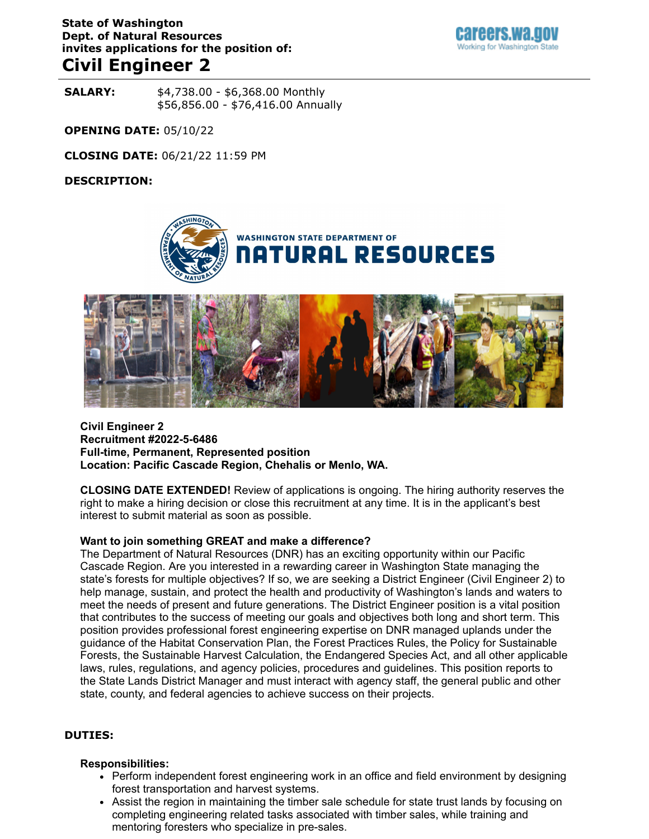# **State of Washington Dept. of Natural Resources invites applications for the position of:**

# **Civil Engineer 2**

**SALARY:**  $$4,738.00 - $6,368.00$  Monthly \$56,856.00 - \$76,416.00 Annually

**OPENING DATE:** 05/10/22

**CLOSING DATE:** 06/21/22 11:59 PM

#### **DESCRIPTION:**





#### **Civil Engineer 2 Recruitment #2022-5-6486 Full-time, Permanent, Represented position Location: Pacific Cascade Region, Chehalis or Menlo, WA.**

**CLOSING DATE EXTENDED!** Review of applications is ongoing. The hiring authority reserves the right to make a hiring decision or close this recruitment at any time. It is in the applicant's best interest to submit material as soon as possible.

#### **Want to join something GREAT and make a difference?**

The Department of Natural Resources (DNR) has an exciting opportunity within our Pacific Cascade Region. Are you interested in a rewarding career in Washington State managing the state's forests for multiple objectives? If so, we are seeking a District Engineer (Civil Engineer 2) to help manage, sustain, and protect the health and productivity of Washington's lands and waters to meet the needs of present and future generations. The District Engineer position is a vital position that contributes to the success of meeting our goals and objectives both long and short term. This position provides professional forest engineering expertise on DNR managed uplands under the guidance of the Habitat Conservation Plan, the Forest Practices Rules, the Policy for Sustainable Forests, the Sustainable Harvest Calculation, the Endangered Species Act, and all other applicable laws, rules, regulations, and agency policies, procedures and guidelines. This position reports to the State Lands District Manager and must interact with agency staff, the general public and other state, county, and federal agencies to achieve success on their projects.

#### **DUTIES:**

#### **Responsibilities:**

- Perform independent forest engineering work in an office and field environment by designing forest transportation and harvest systems.
- Assist the region in maintaining the timber sale schedule for state trust lands by focusing on completing engineering related tasks associated with timber sales, while training and mentoring foresters who specialize in pre-sales.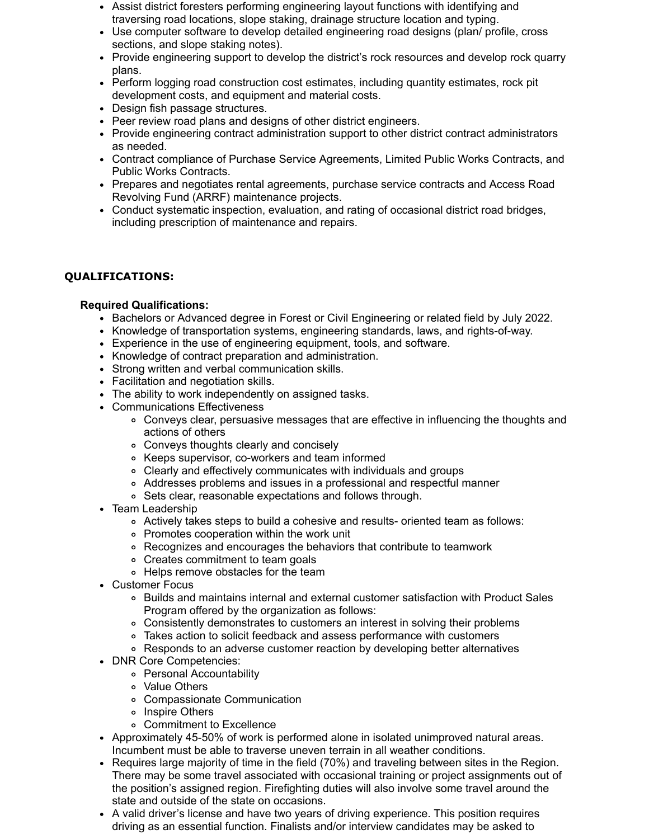- Assist district foresters performing engineering layout functions with identifying and traversing road locations, slope staking, drainage structure location and typing.
- Use computer software to develop detailed engineering road designs (plan/ profile, cross sections, and slope staking notes).
- Provide engineering support to develop the district's rock resources and develop rock quarry plans.
- Perform logging road construction cost estimates, including quantity estimates, rock pit development costs, and equipment and material costs.
- Design fish passage structures.
- Peer review road plans and designs of other district engineers.
- Provide engineering contract administration support to other district contract administrators as needed.
- Contract compliance of Purchase Service Agreements, Limited Public Works Contracts, and Public Works Contracts.
- Prepares and negotiates rental agreements, purchase service contracts and Access Road Revolving Fund (ARRF) maintenance projects.
- Conduct systematic inspection, evaluation, and rating of occasional district road bridges, including prescription of maintenance and repairs.

# **QUALIFICATIONS:**

#### **Required Qualifications:**

- Bachelors or Advanced degree in Forest or Civil Engineering or related field by July 2022.
- Knowledge of transportation systems, engineering standards, laws, and rights-of-way.
- Experience in the use of engineering equipment, tools, and software.
- Knowledge of contract preparation and administration.
- Strong written and verbal communication skills.
- Facilitation and negotiation skills.
- The ability to work independently on assigned tasks.
- Communications Effectiveness
	- Conveys clear, persuasive messages that are effective in influencing the thoughts and actions of others
	- Conveys thoughts clearly and concisely
	- Keeps supervisor, co-workers and team informed
	- Clearly and effectively communicates with individuals and groups
	- Addresses problems and issues in a professional and respectful manner
	- Sets clear, reasonable expectations and follows through.
- Team Leadership
	- Actively takes steps to build a cohesive and results- oriented team as follows:
	- Promotes cooperation within the work unit
	- Recognizes and encourages the behaviors that contribute to teamwork
	- Creates commitment to team goals
	- Helps remove obstacles for the team
- Customer Focus
	- Builds and maintains internal and external customer satisfaction with Product Sales Program offered by the organization as follows:
	- Consistently demonstrates to customers an interest in solving their problems
	- Takes action to solicit feedback and assess performance with customers
	- Responds to an adverse customer reaction by developing better alternatives
- DNR Core Competencies:
	- Personal Accountability
	- Value Others
	- Compassionate Communication
	- o Inspire Others
	- Commitment to Excellence
- Approximately 45-50% of work is performed alone in isolated unimproved natural areas. Incumbent must be able to traverse uneven terrain in all weather conditions.
- Requires large majority of time in the field (70%) and traveling between sites in the Region. There may be some travel associated with occasional training or project assignments out of the position's assigned region. Firefighting duties will also involve some travel around the state and outside of the state on occasions.
- A valid driver's license and have two years of driving experience. This position requires driving as an essential function. Finalists and/or interview candidates may be asked to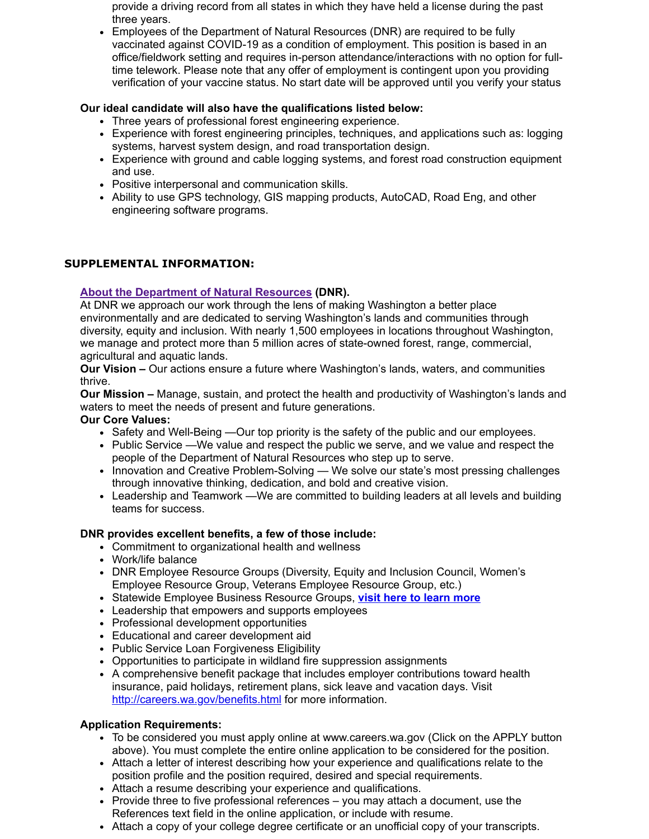provide a driving record from all states in which they have held a license during the past three years.

Employees of the Department of Natural Resources (DNR) are required to be fully vaccinated against COVID-19 as a condition of employment. This position is based in an office/fieldwork setting and requires in-person attendance/interactions with no option for fulltime telework. Please note that any offer of employment is contingent upon you providing verification of your vaccine status. No start date will be approved until you verify your status

# **Our ideal candidate will also have the qualifications listed below:**

- Three years of professional forest engineering experience.
- Experience with forest engineering principles, techniques, and applications such as: logging systems, harvest system design, and road transportation design.
- Experience with ground and cable logging systems, and forest road construction equipment and use.
- Positive interpersonal and communication skills.
- Ability to use GPS technology, GIS mapping products, AutoCAD, Road Eng, and other engineering software programs.

# **SUPPLEMENTAL INFORMATION:**

# **[About the Department of Natural Resources](https://www.dnr.wa.gov/about-washington-department-natural-resources) (DNR).**

At DNR we approach our work through the lens of making Washington a better place environmentally and are dedicated to serving Washington's lands and communities through diversity, equity and inclusion. With nearly 1,500 employees in locations throughout Washington, we manage and protect more than 5 million acres of state-owned forest, range, commercial, agricultural and aquatic lands.

**Our Vision –** Our actions ensure a future where Washington's lands, waters, and communities thrive.

**Our Mission –** Manage, sustain, and protect the health and productivity of Washington's lands and waters to meet the needs of present and future generations.

### **Our Core Values:**

- Safety and Well-Being —Our top priority is the safety of the public and our employees.
- Public Service —We value and respect the public we serve, and we value and respect the people of the Department of Natural Resources who step up to serve.
- Innovation and Creative Problem-Solving We solve our state's most pressing challenges through innovative thinking, dedication, and bold and creative vision.
- Leadership and Teamwork —We are committed to building leaders at all levels and building teams for success.

# **DNR provides excellent benefits, a few of those include:**

- Commitment to organizational health and wellness
- Work/life balance
- DNR Employee Resource Groups (Diversity, Equity and Inclusion Council, Women's Employee Resource Group, Veterans Employee Resource Group, etc.)
- **Statewide Employee Business Resource Groups, [visit here to learn more](https://ofm.wa.gov/state-human-resources/workforce-diversity-equity-and-inclusion/statewide-business-resource-groups)**
- Leadership that empowers and supports employees
- Professional development opportunities
- Educational and career development aid
- Public Service Loan Forgiveness Eligibility
- Opportunities to participate in wildland fire suppression assignments
- A comprehensive benefit package that includes employer contributions toward health insurance, paid holidays, retirement plans, sick leave and vacation days. Visit <http://careers.wa.gov/benefits.html>for more information.

#### **Application Requirements:**

- To be considered you must apply online at www.careers.wa.gov (Click on the APPLY button above). You must complete the entire online application to be considered for the position.
- Attach a letter of interest describing how your experience and qualifications relate to the position profile and the position required, desired and special requirements.
- Attach a resume describing your experience and qualifications.
- Provide three to five professional references you may attach a document, use the References text field in the online application, or include with resume.
- Attach a copy of your college degree certificate or an unofficial copy of your transcripts.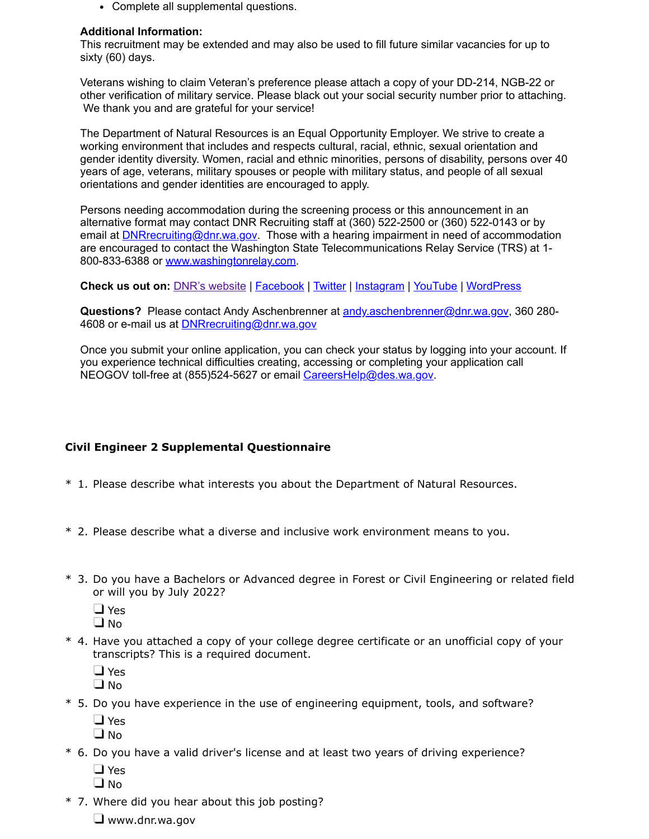Complete all supplemental questions.

### **Additional Information:**

This recruitment may be extended and may also be used to fill future similar vacancies for up to sixty (60) days.

Veterans wishing to claim Veteran's preference please attach a copy of your DD-214, NGB-22 or other verification of military service. Please black out your social security number prior to attaching. We thank you and are grateful for your service!

The Department of Natural Resources is an Equal Opportunity Employer. We strive to create a working environment that includes and respects cultural, racial, ethnic, sexual orientation and gender identity diversity. Women, racial and ethnic minorities, persons of disability, persons over 40 years of age, veterans, military spouses or people with military status, and people of all sexual orientations and gender identities are encouraged to apply.

Persons needing accommodation during the screening process or this announcement in an alternative format may contact DNR Recruiting staff at (360) 522-2500 or (360) 522-0143 or by email at **[DNRrecruiting@dnr.wa.gov.](mailto:DNRrecruiting@dnr.wa.gov)** Those with a hearing impairment in need of accommodation are encouraged to contact the Washington State Telecommunications Relay Service (TRS) at 1- 800-833-6388 or [www.washingtonrelay.com](http://www.washingtonrelay.com/).

**Check us out on:** [DNR's website](https://www.dnr.wa.gov/) | [Facebook](https://www.facebook.com/WashDNR/) | [Twitter](https://twitter.com/waDNR) | [Instagram](https://www.instagram.com/washdnr/) | [YouTube](https://www.youtube.com/user/WAstateDNR) | [WordPress](https://washingtondnr.wordpress.com/)

**Questions?** Please contact Andy Aschenbrenner at [andy.aschenbrenner@dnr.wa.gov](mailto:andy.aschenbrenner@dnr.wa.gov), 360 280- 4608 or e-mail us at [DNRrecruiting@dnr.wa.gov](mailto:DNRrecruiting@dnr.wa.gov)

Once you submit your online application, you can check your status by logging into your account. If you experience technical difficulties creating, accessing or completing your application call NEOGOV toll-free at (855)524-5627 or email [CareersHelp@des.wa.gov.](mailto:CareersHelp@des.wa.gov)

# **Civil Engineer 2 Supplemental Questionnaire**

- \* 1. Please describe what interests you about the Department of Natural Resources.
- \* 2. Please describe what a diverse and inclusive work environment means to you.
- \* 3. Do you have a Bachelors or Advanced degree in Forest or Civil Engineering or related field or will you by July 2022?
	- □ Yes
	- $\Box$  No
- \* 4. Have you attached a copy of your college degree certificate or an unofficial copy of your transcripts? This is a required document.
	- □ Yes
	- $\Box$  No
- \* 5. Do you have experience in the use of engineering equipment, tools, and software?
	- □ Yes
	- $\Box$  No
- \* 6. Do you have a valid driver's license and at least two years of driving experience?
	- □ Yes
	- $\Box$  No
- \* 7. Where did you hear about this job posting?
	- $\Box$  www.dnr.wa.gov